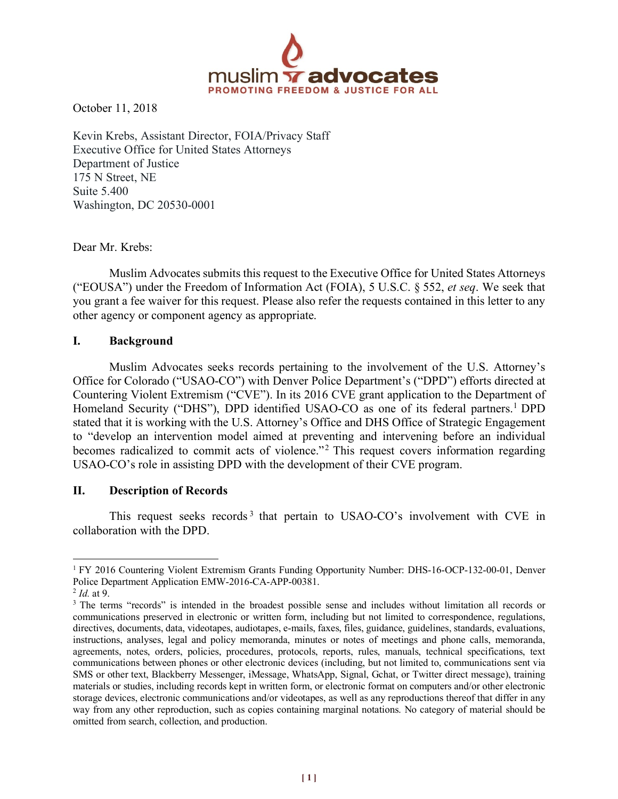

October 11, 2018

Kevin Krebs, Assistant Director, FOIA/Privacy Staff Executive Office for United States Attorneys Department of Justice 175 N Street, NE Suite 5.400 Washington, DC 20530-0001

Dear Mr. Krebs:

Muslim Advocates submits this request to the Executive Office for United States Attorneys ("EOUSA") under the Freedom of Information Act (FOIA), 5 U.S.C. § 552, *et seq*. We seek that you grant a fee waiver for this request. Please also refer the requests contained in this letter to any other agency or component agency as appropriate.

## **I. Background**

Muslim Advocates seeks records pertaining to the involvement of the U.S. Attorney's Office for Colorado ("USAO-CO") with Denver Police Department's ("DPD") efforts directed at Countering Violent Extremism ("CVE"). In its 2016 CVE grant application to the Department of Homeland Security ("DHS"), DPD identified USAO-CO as one of its federal partners.<sup>1</sup> DPD stated that it is working with the U.S. Attorney's Office and DHS Office of Strategic Engagement to "develop an intervention model aimed at preventing and intervening before an individual becomes radicalized to commit acts of violence."<sup>2</sup> This request covers information regarding USAO-CO's role in assisting DPD with the development of their CVE program.

## **II. Description of Records**

 

This request seeks records<sup>3</sup> that pertain to USAO-CO's involvement with CVE in collaboration with the DPD.

<sup>1</sup> FY 2016 Countering Violent Extremism Grants Funding Opportunity Number: DHS-16-OCP-132-00-01, Denver Police Department Application EMW-2016-CA-APP-00381.

<sup>2</sup> *Id.* at 9.

<sup>&</sup>lt;sup>3</sup> The terms "records" is intended in the broadest possible sense and includes without limitation all records or communications preserved in electronic or written form, including but not limited to correspondence, regulations, directives, documents, data, videotapes, audiotapes, e-mails, faxes, files, guidance, guidelines, standards, evaluations, instructions, analyses, legal and policy memoranda, minutes or notes of meetings and phone calls, memoranda, agreements, notes, orders, policies, procedures, protocols, reports, rules, manuals, technical specifications, text communications between phones or other electronic devices (including, but not limited to, communications sent via SMS or other text, Blackberry Messenger, iMessage, WhatsApp, Signal, Gchat, or Twitter direct message), training materials or studies, including records kept in written form, or electronic format on computers and/or other electronic storage devices, electronic communications and/or videotapes, as well as any reproductions thereof that differ in any way from any other reproduction, such as copies containing marginal notations. No category of material should be omitted from search, collection, and production.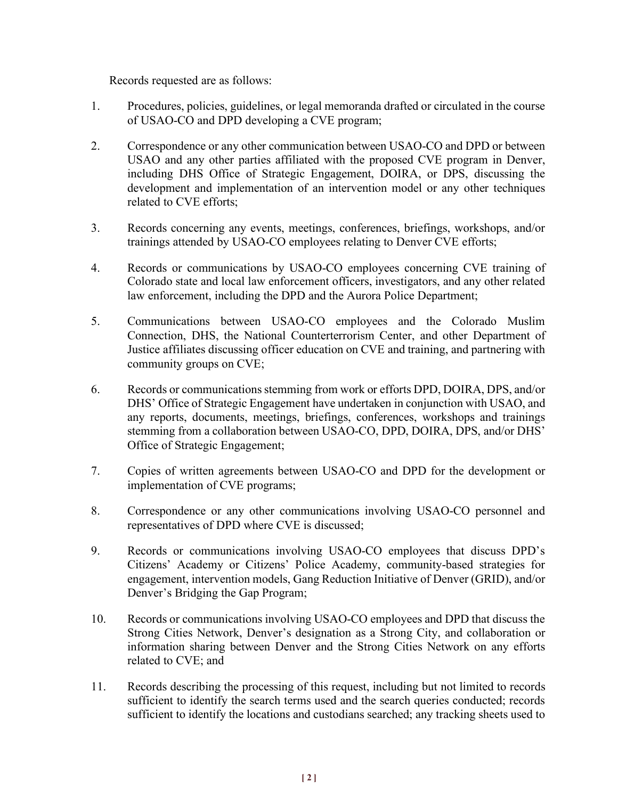Records requested are as follows:

- 1. Procedures, policies, guidelines, or legal memoranda drafted or circulated in the course of USAO-CO and DPD developing a CVE program;
- 2. Correspondence or any other communication between USAO-CO and DPD or between USAO and any other parties affiliated with the proposed CVE program in Denver, including DHS Office of Strategic Engagement, DOIRA, or DPS, discussing the development and implementation of an intervention model or any other techniques related to CVE efforts;
- 3. Records concerning any events, meetings, conferences, briefings, workshops, and/or trainings attended by USAO-CO employees relating to Denver CVE efforts;
- 4. Records or communications by USAO-CO employees concerning CVE training of Colorado state and local law enforcement officers, investigators, and any other related law enforcement, including the DPD and the Aurora Police Department;
- 5. Communications between USAO-CO employees and the Colorado Muslim Connection, DHS, the National Counterterrorism Center, and other Department of Justice affiliates discussing officer education on CVE and training, and partnering with community groups on CVE;
- 6. Records or communications stemming from work or efforts DPD, DOIRA, DPS, and/or DHS' Office of Strategic Engagement have undertaken in conjunction with USAO, and any reports, documents, meetings, briefings, conferences, workshops and trainings stemming from a collaboration between USAO-CO, DPD, DOIRA, DPS, and/or DHS' Office of Strategic Engagement;
- 7. Copies of written agreements between USAO-CO and DPD for the development or implementation of CVE programs;
- 8. Correspondence or any other communications involving USAO-CO personnel and representatives of DPD where CVE is discussed;
- 9. Records or communications involving USAO-CO employees that discuss DPD's Citizens' Academy or Citizens' Police Academy, community-based strategies for engagement, intervention models, Gang Reduction Initiative of Denver (GRID), and/or Denver's Bridging the Gap Program;
- 10. Records or communications involving USAO-CO employees and DPD that discuss the Strong Cities Network, Denver's designation as a Strong City, and collaboration or information sharing between Denver and the Strong Cities Network on any efforts related to CVE; and
- 11. Records describing the processing of this request, including but not limited to records sufficient to identify the search terms used and the search queries conducted; records sufficient to identify the locations and custodians searched; any tracking sheets used to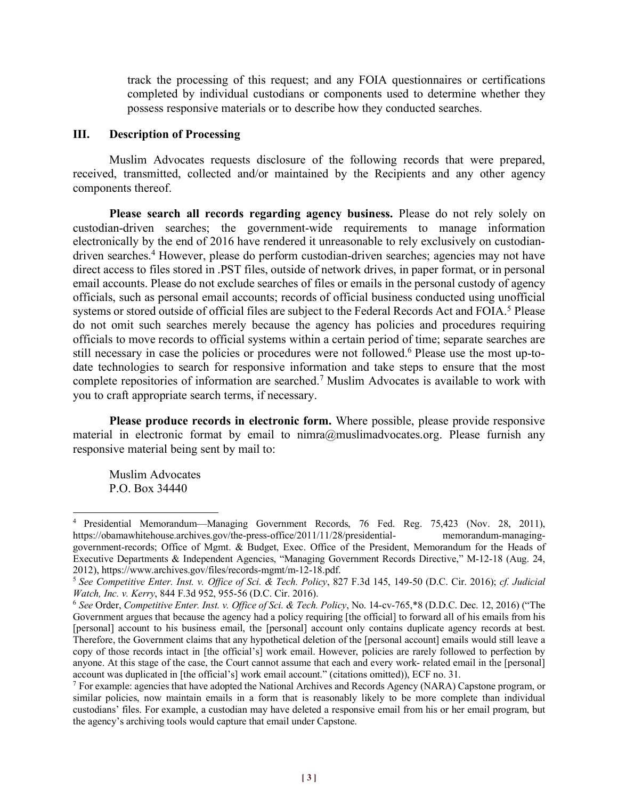track the processing of this request; and any FOIA questionnaires or certifications completed by individual custodians or components used to determine whether they possess responsive materials or to describe how they conducted searches.

#### **III. Description of Processing**

Muslim Advocates requests disclosure of the following records that were prepared, received, transmitted, collected and/or maintained by the Recipients and any other agency components thereof.

**Please search all records regarding agency business.** Please do not rely solely on custodian-driven searches; the government-wide requirements to manage information electronically by the end of 2016 have rendered it unreasonable to rely exclusively on custodiandriven searches.4 However, please do perform custodian-driven searches; agencies may not have direct access to files stored in .PST files, outside of network drives, in paper format, or in personal email accounts. Please do not exclude searches of files or emails in the personal custody of agency officials, such as personal email accounts; records of official business conducted using unofficial systems or stored outside of official files are subject to the Federal Records Act and FOIA.<sup>5</sup> Please do not omit such searches merely because the agency has policies and procedures requiring officials to move records to official systems within a certain period of time; separate searches are still necessary in case the policies or procedures were not followed.<sup>6</sup> Please use the most up-todate technologies to search for responsive information and take steps to ensure that the most complete repositories of information are searched.7 Muslim Advocates is available to work with you to craft appropriate search terms, if necessary.

**Please produce records in electronic form.** Where possible, please provide responsive material in electronic format by email to  $nimra@muslimadvocates.org$ . Please furnish any responsive material being sent by mail to:

Muslim Advocates P.O. Box 34440

<sup>4</sup> Presidential Memorandum—Managing Government Records, 76 Fed. Reg. 75,423 (Nov. 28, 2011), https://obamawhitehouse.archives.gov/the-press-office/2011/11/28/presidential- memorandum-managinggovernment-records; Office of Mgmt. & Budget, Exec. Office of the President, Memorandum for the Heads of Executive Departments & Independent Agencies, "Managing Government Records Directive," M-12-18 (Aug. 24, 2012), https://www.archives.gov/files/records-mgmt/m-12-18.pdf.

<sup>5</sup> *See Competitive Enter. Inst. v. Office of Sci. & Tech. Policy*, 827 F.3d 145, 149-50 (D.C. Cir. 2016); *cf. Judicial Watch, Inc. v. Kerry*, 844 F.3d 952, 955-56 (D.C. Cir. 2016).

<sup>6</sup> *See* Order, *Competitive Enter. Inst. v. Office of Sci. & Tech. Policy*, No. 14-cv-765,\*8 (D.D.C. Dec. 12, 2016) ("The Government argues that because the agency had a policy requiring [the official] to forward all of his emails from his [personal] account to his business email, the [personal] account only contains duplicate agency records at best. Therefore, the Government claims that any hypothetical deletion of the [personal account] emails would still leave a copy of those records intact in [the official's] work email. However, policies are rarely followed to perfection by anyone. At this stage of the case, the Court cannot assume that each and every work- related email in the [personal] account was duplicated in [the official's] work email account." (citations omitted)), ECF no. 31.

<sup>7</sup> For example: agencies that have adopted the National Archives and Records Agency (NARA) Capstone program, or similar policies, now maintain emails in a form that is reasonably likely to be more complete than individual custodians' files. For example, a custodian may have deleted a responsive email from his or her email program, but the agency's archiving tools would capture that email under Capstone.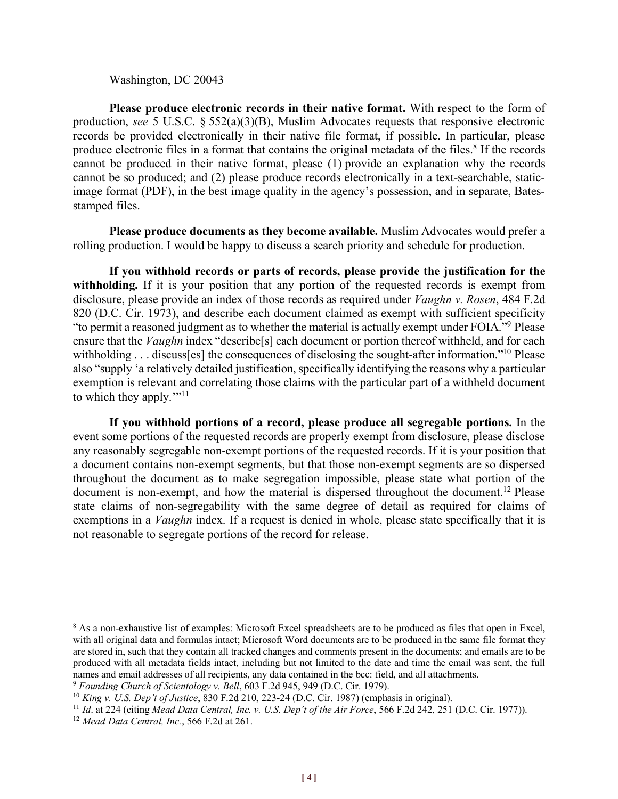#### Washington, DC 20043

**Please produce electronic records in their native format.** With respect to the form of production, *see* 5 U.S.C. § 552(a)(3)(B), Muslim Advocates requests that responsive electronic records be provided electronically in their native file format, if possible. In particular, please produce electronic files in a format that contains the original metadata of the files.<sup>8</sup> If the records cannot be produced in their native format, please (1) provide an explanation why the records cannot be so produced; and (2) please produce records electronically in a text-searchable, staticimage format (PDF), in the best image quality in the agency's possession, and in separate, Batesstamped files.

**Please produce documents as they become available.** Muslim Advocates would prefer a rolling production. I would be happy to discuss a search priority and schedule for production.

**If you withhold records or parts of records, please provide the justification for the**  withholding. If it is your position that any portion of the requested records is exempt from disclosure, please provide an index of those records as required under *Vaughn v. Rosen*, 484 F.2d 820 (D.C. Cir. 1973), and describe each document claimed as exempt with sufficient specificity "to permit a reasoned judgment as to whether the material is actually exempt under FOIA."9 Please ensure that the *Vaughn* index "describe[s] each document or portion thereof withheld, and for each withholding . . . discusses] the consequences of disclosing the sought-after information."<sup>10</sup> Please also "supply 'a relatively detailed justification, specifically identifying the reasons why a particular exemption is relevant and correlating those claims with the particular part of a withheld document to which they apply."<sup>11</sup>

**If you withhold portions of a record, please produce all segregable portions.** In the event some portions of the requested records are properly exempt from disclosure, please disclose any reasonably segregable non-exempt portions of the requested records. If it is your position that a document contains non-exempt segments, but that those non-exempt segments are so dispersed throughout the document as to make segregation impossible, please state what portion of the document is non-exempt, and how the material is dispersed throughout the document.<sup>12</sup> Please state claims of non-segregability with the same degree of detail as required for claims of exemptions in a *Vaughn* index. If a request is denied in whole, please state specifically that it is not reasonable to segregate portions of the record for release.

<sup>&</sup>lt;sup>8</sup> As a non-exhaustive list of examples: Microsoft Excel spreadsheets are to be produced as files that open in Excel, with all original data and formulas intact; Microsoft Word documents are to be produced in the same file format they are stored in, such that they contain all tracked changes and comments present in the documents; and emails are to be produced with all metadata fields intact, including but not limited to the date and time the email was sent, the full names and email addresses of all recipients, any data contained in the bcc: field, and all attachments.

<sup>9</sup> *Founding Church of Scientology v. Bell*, 603 F.2d 945, 949 (D.C. Cir. 1979).

<sup>10</sup> *King v. U.S. Dep't of Justice*, 830 F.2d 210, 223-24 (D.C. Cir. 1987) (emphasis in original).

<sup>11</sup> *Id*. at 224 (citing *Mead Data Central, Inc. v. U.S. Dep't of the Air Force*, 566 F.2d 242, 251 (D.C. Cir. 1977)).

<sup>12</sup> *Mead Data Central, Inc.*, 566 F.2d at 261.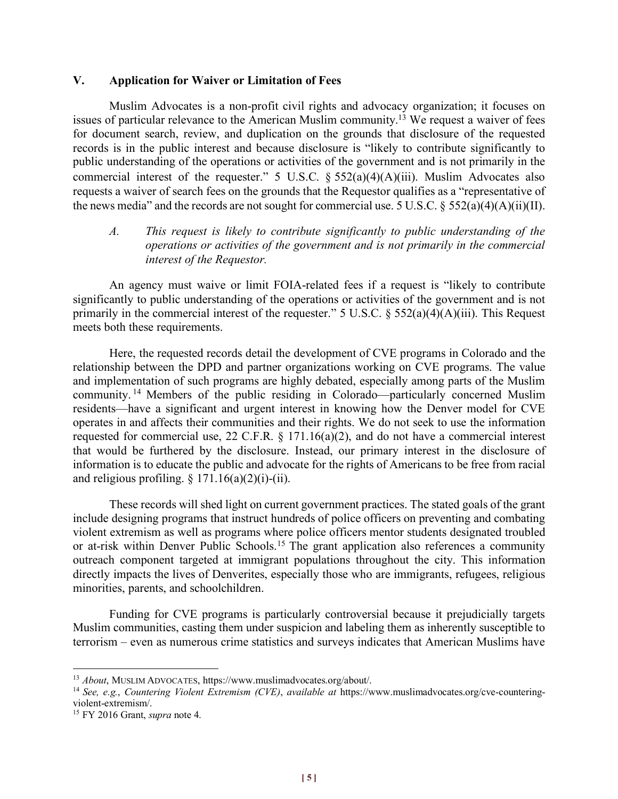## **V. Application for Waiver or Limitation of Fees**

Muslim Advocates is a non-profit civil rights and advocacy organization; it focuses on issues of particular relevance to the American Muslim community.13 We request a waiver of fees for document search, review, and duplication on the grounds that disclosure of the requested records is in the public interest and because disclosure is "likely to contribute significantly to public understanding of the operations or activities of the government and is not primarily in the commercial interest of the requester." 5 U.S.C.  $\S$  552(a)(4)(A)(iii). Muslim Advocates also requests a waiver of search fees on the grounds that the Requestor qualifies as a "representative of the news media" and the records are not sought for commercial use. 5 U.S.C.  $\S$  552(a)(4)(A)(ii)(II).

# *A. This request is likely to contribute significantly to public understanding of the operations or activities of the government and is not primarily in the commercial interest of the Requestor.*

An agency must waive or limit FOIA-related fees if a request is "likely to contribute significantly to public understanding of the operations or activities of the government and is not primarily in the commercial interest of the requester." 5 U.S.C.  $\S$  552(a)(4)(A)(iii). This Request meets both these requirements.

Here, the requested records detail the development of CVE programs in Colorado and the relationship between the DPD and partner organizations working on CVE programs. The value and implementation of such programs are highly debated, especially among parts of the Muslim community. <sup>14</sup> Members of the public residing in Colorado—particularly concerned Muslim residents—have a significant and urgent interest in knowing how the Denver model for CVE operates in and affects their communities and their rights. We do not seek to use the information requested for commercial use, 22 C.F.R. § 171.16(a)(2), and do not have a commercial interest that would be furthered by the disclosure. Instead, our primary interest in the disclosure of information is to educate the public and advocate for the rights of Americans to be free from racial and religious profiling.  $\S 171.16(a)(2)(i)$ -(ii).

These records will shed light on current government practices. The stated goals of the grant include designing programs that instruct hundreds of police officers on preventing and combating violent extremism as well as programs where police officers mentor students designated troubled or at-risk within Denver Public Schools.15 The grant application also references a community outreach component targeted at immigrant populations throughout the city. This information directly impacts the lives of Denverites, especially those who are immigrants, refugees, religious minorities, parents, and schoolchildren.

Funding for CVE programs is particularly controversial because it prejudicially targets Muslim communities, casting them under suspicion and labeling them as inherently susceptible to terrorism – even as numerous crime statistics and surveys indicates that American Muslims have

<sup>13</sup> *About*, MUSLIM ADVOCATES, https://www.muslimadvocates.org/about/.

<sup>14</sup> *See, e.g.*, *Countering Violent Extremism (CVE)*, *available at* https://www.muslimadvocates.org/cve-counteringviolent-extremism/.

<sup>15</sup> FY 2016 Grant, *supra* note 4.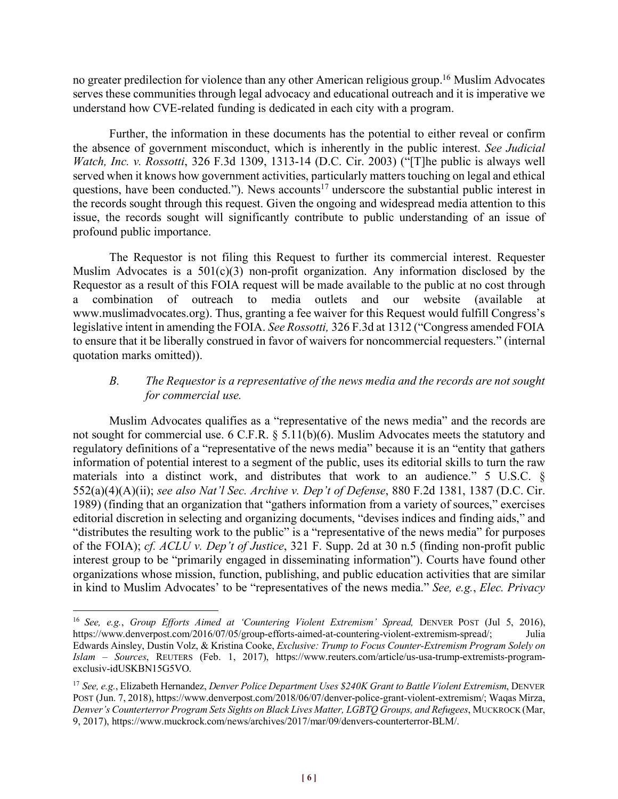no greater predilection for violence than any other American religious group.16 Muslim Advocates serves these communities through legal advocacy and educational outreach and it is imperative we understand how CVE-related funding is dedicated in each city with a program.

Further, the information in these documents has the potential to either reveal or confirm the absence of government misconduct, which is inherently in the public interest. *See Judicial Watch, Inc. v. Rossotti*, 326 F.3d 1309, 1313-14 (D.C. Cir. 2003) ("[T]he public is always well served when it knows how government activities, particularly matters touching on legal and ethical questions, have been conducted."). News accounts<sup>17</sup> underscore the substantial public interest in the records sought through this request. Given the ongoing and widespread media attention to this issue, the records sought will significantly contribute to public understanding of an issue of profound public importance.

The Requestor is not filing this Request to further its commercial interest. Requester Muslim Advocates is a  $501(c)(3)$  non-profit organization. Any information disclosed by the Requestor as a result of this FOIA request will be made available to the public at no cost through a combination of outreach to media outlets and our website (available at www.muslimadvocates.org). Thus, granting a fee waiver for this Request would fulfill Congress's legislative intent in amending the FOIA. *See Rossotti,* 326 F.3d at 1312 ("Congress amended FOIA to ensure that it be liberally construed in favor of waivers for noncommercial requesters." (internal quotation marks omitted)).

# *B. The Requestor is a representative of the news media and the records are not sought for commercial use.*

Muslim Advocates qualifies as a "representative of the news media" and the records are not sought for commercial use. 6 C.F.R. § 5.11(b)(6). Muslim Advocates meets the statutory and regulatory definitions of a "representative of the news media" because it is an "entity that gathers information of potential interest to a segment of the public, uses its editorial skills to turn the raw materials into a distinct work, and distributes that work to an audience." 5 U.S.C. § 552(a)(4)(A)(ii); *see also Nat'l Sec. Archive v. Dep't of Defense*, 880 F.2d 1381, 1387 (D.C. Cir. 1989) (finding that an organization that "gathers information from a variety of sources," exercises editorial discretion in selecting and organizing documents, "devises indices and finding aids," and "distributes the resulting work to the public" is a "representative of the news media" for purposes of the FOIA); *cf. ACLU v. Dep't of Justice*, 321 F. Supp. 2d at 30 n.5 (finding non-profit public interest group to be "primarily engaged in disseminating information"). Courts have found other organizations whose mission, function, publishing, and public education activities that are similar in kind to Muslim Advocates' to be "representatives of the news media." *See, e.g.*, *Elec. Privacy* 

<sup>16</sup> *See, e.g.*, *Group Efforts Aimed at 'Countering Violent Extremism' Spread,* DENVER POST (Jul 5, 2016), https://www.denverpost.com/2016/07/05/group-efforts-aimed-at-countering-violent-extremism-spread/; Julia Edwards Ainsley, Dustin Volz, & Kristina Cooke, *Exclusive: Trump to Focus Counter-Extremism Program Solely on Islam – Sources*, REUTERS (Feb. 1, 2017), https://www.reuters.com/article/us-usa-trump-extremists-programexclusiv-idUSKBN15G5VO.

<sup>17</sup> *See, e.g.*, Elizabeth Hernandez, *Denver Police Department Uses \$240K Grant to Battle Violent Extremism*, DENVER POST (Jun. 7, 2018), https://www.denverpost.com/2018/06/07/denver-police-grant-violent-extremism/; Waqas Mirza, *Denver's Counterterror Program Sets Sights on Black Lives Matter, LGBTQ Groups, and Refugees*, MUCKROCK (Mar, 9, 2017), https://www.muckrock.com/news/archives/2017/mar/09/denvers-counterterror-BLM/.